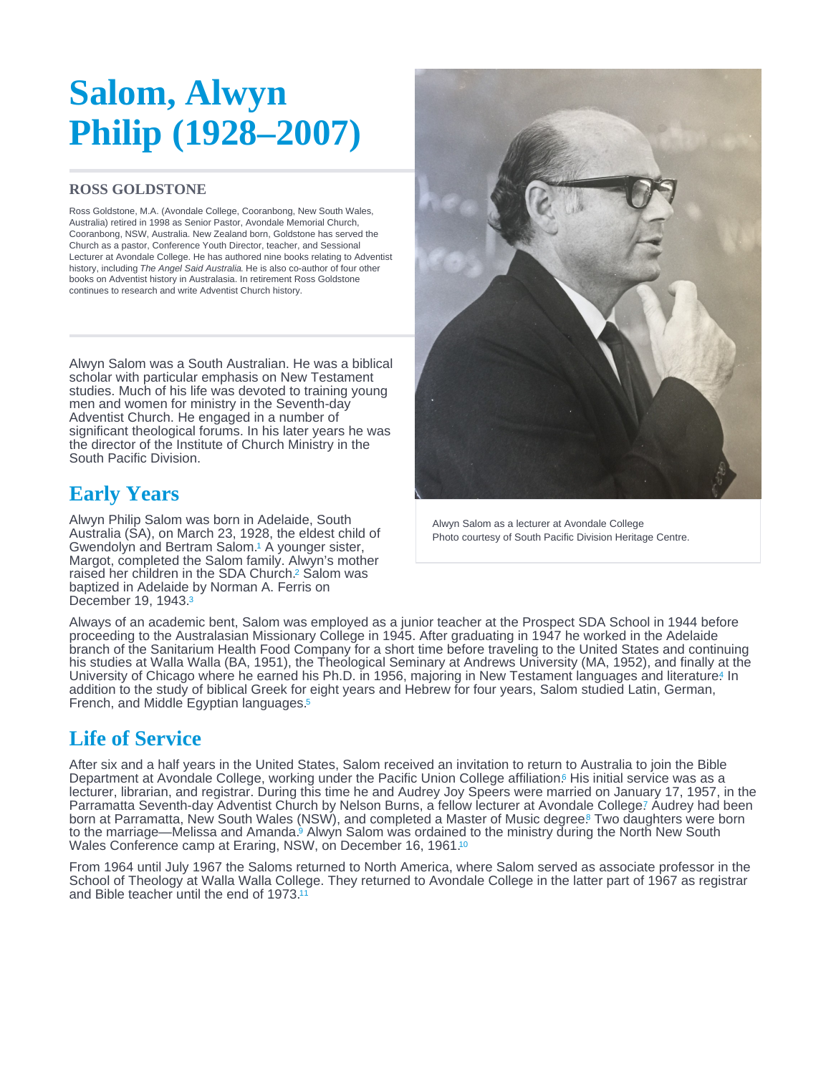# <span id="page-0-0"></span>Salom, Alwyn Philip (1928–2007)

#### ROSS GOLDSTONE

Ross Goldstone, M.A. (Avondale College, Cooranbong, New South Wales, Australia) retired in 1998 as Senior Pastor, Avondale Memorial Church, Cooranbong, NSW, Australia. New Zealand born, Goldstone has served the Church as a pastor, Conference Youth Director, teacher, and Sessional Lecturer at Avondale College. He has authored nine books relating to Adventist history, including The Angel Said Australia. He is also co-author of four other books on Adventist history in Australasia. In retirement Ross Goldstone continues to research and write Adventist Church history.

Alwyn Salom was a South Australian. He was a biblical scholar with particular emphasis on New Testament studies. Much of his life was devoted to training young men and women for ministry in the Seventh-day Adventist Church. He engaged in a number of significant theological forums. In his later years he was the director of the Institute of Church Ministry in the South Pacific Division.

## Early Years

Alwyn Philip Salom was born in Adelaide, South Australia (SA), on March 23, 1928, the eldest child of Gwendolyn and Bertram Salom.<sup>1</sup> A younger sister, Margot, completed the Salom family. Alwyn's mother raised her children in the SDA Church.<sup>2</sup> Salom was baptized in Adelaide by Norman A. Ferris on December 19, 1943. [3](#page-2-0)

Alwyn Salom as a lecturer at Avondale College Photo courtesy of South Pacific Division Heritage Centre.

Always of an academic bent, Salom was employed as a junior teacher at the Prospect SDA School in 1944 before proceeding to the Australasian Missionary College in 1945. After graduating in 1947 he worked in the Adelaide branch of the Sanitarium Health Food Company for a short time before traveling to the United States and continuing his studies at Walla Walla (BA, 1951), the Theological Seminary at Andrews University (MA, 1952), and finally at the University of Chicago where he earned his Ph[.](#page-2-0)D. in 1956, majoring in New Testament languages and literature! In addition to the study of biblical Greek for eight years and Hebrew for four years, Salom studied Latin, German, French, and Middle Egyptian languages. [5](#page-2-0)

## Life of Service

After six and a half years in the United States, Salom received an invitation to return to Australia to join the Bible Department at Avondale College, working under the Pacific Union College affiliation[.](#page-2-0)<sup>6</sup> His initial service was as a lecturer, librarian, and registrar. During this time he and Audrey Joy Speers were married on January 17, 1957, in the Parramatta Seventh-day Adventist Church by Nelson Burns, a fellow lecturer at Avondale College? Audrey had been born at Parramatta, New South Wales (NSW), and completed a Master of Music degree[.](#page-2-0) Two daughters were born to the marriage—Melissa and Amanda[.](#page-2-0)<sup>9</sup> Alwyn Salom was ordained to the ministry during the North New South Wales Conference camp at Eraring, NSW, on December 16, 1961.<sup>[10](#page-2-0)</sup>

From 1964 until July 1967 the Saloms returned to North America, where Salom served as associate professor in the School of Theology at Walla Walla College. They returned to Avondale College in the latter part of 1967 as registrar and Bible teacher until the end of 1973.[11](#page-2-0)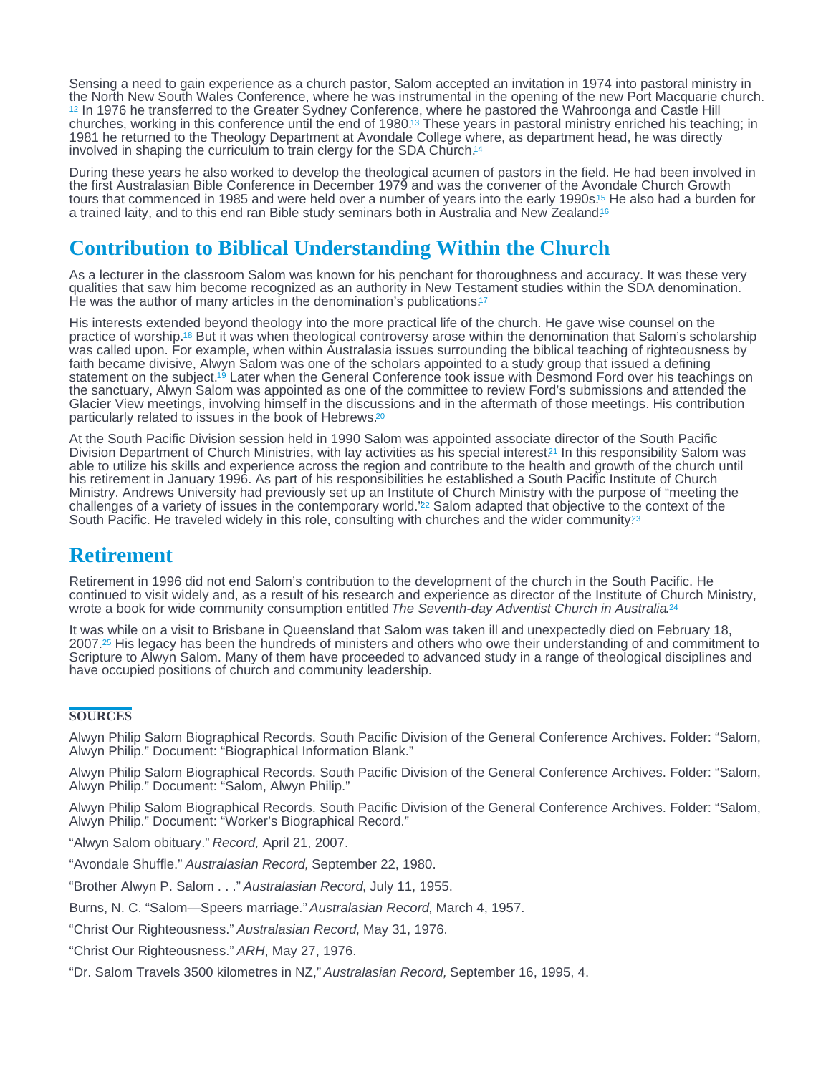<span id="page-1-0"></span>Sensing a need to gain experience as a church pastor, Salom accepted an invitation in 1974 into pastoral ministry in the North New South Wales Conference, where he was instrumental in the opening of the new Port Macquarie church. <sup>[12](#page-2-0)</sup> In 1976 he transferred to the Greater Sydney Conference, where he pastored the Wahroonga and Castle Hill churches, working in this conference until the end of 1980[.](#page-2-0)<sup>13</sup> These years in pastoral ministry enriched his teaching; in 1981 he returned to the Theology Department at Avondale College where, as department head, he was directly involved in shaping the curriculum to train clergy for the SDA Church.<sup>14</sup>

During these years he also worked to develop the theological acumen of pastors in the field. He had been involved in the first Australasian Bible Conference in December 1979 and was the convener of the Avondale Church Growth tours that commenced in 1985 and were held over a number of years into the early 1990s[.](#page-3-0)<sup>15</sup> He also had a burden for a trained laity, and to this end ran Bible study seminars both in Australia and New Zealand.<sup>6</sup>

## Contribution to Biblical Understanding Within the Church

As a lecturer in the classroom Salom was known for his penchant for thoroughness and accuracy. It was these very qualities that saw him become recognized as an authority in New Testament studies within the SDA denomination. He was the author of many articles in the denomination's publications.<sup>[17](#page-3-0)</sup>

His interests extended beyond theology into the more practical life of the church. He gave wise counsel on the practice of worship.18 But it was when theological controversy arose within the denomination that Salom's scholarship was called upon. For example, when within Australasia issues surrounding the biblical teaching of righteousness by faith became divisive, Alwyn Salom was one of the scholars appointed to a study group that issued a defining statement on the subject.<sup>19</sup> Later when the General Conference took issue with Desmond Ford over his teachings on the sanctuary, Alwyn Salom was appointed as one of the committee to review Ford's submissions and attended the Glacier View meetings, involving himself in the discussions and in the aftermath of those meetings. His contribution particularly related to issues in the book of Hebrews. [20](#page-3-0)

At the South Pacific Division session held in 1990 Salom was appointed associate director of the South Pacific Division Department of Church Ministries, with lay activities as his special interest<sup>21</sup> In this responsibility Salom was able to utilize his skills and experience across the region and contribute to the health and growth of the church until his retirement in January 1996. As part of his responsibilities he established a South Pacific Institute of Church Ministry. Andrews University had previously set up an Institute of Church Ministry with the purpose of "meeting the challenges of a variety of issues in the contemporary world." $22$  Salom adapted that objective to the context of the South Pacific. He traveled widely in this role, consulting with churches and the wider community?<sup>3</sup>

### Retirement

Retirement in 1996 did not end Salom's contribution to the development of the church in the South Pacific. He continued to visit widely and, as a result of his research and experience as director of the Institute of Church Ministry, wrote a book for wide community consumption entitled The Seventh-day Adventist Church in Australia.<sup>[24](#page-3-0)</sup>

It was while on a visit to Brisbane in Queensland that Salom was taken ill and unexpectedly died on February 18, 2007[.](#page-3-0)<sup>25</sup> His legacy has been the hundreds of ministers and others who owe their understanding of and commitment to Scripture to Alwyn Salom. Many of them have proceeded to advanced study in a range of theological disciplines and have occupied positions of church and community leadership.

#### **SOURCES**

Alwyn Philip Salom Biographical Records. South Pacific Division of the General Conference Archives. Folder: "Salom, Alwyn Philip." Document: "Biographical Information Blank."

Alwyn Philip Salom Biographical Records. South Pacific Division of the General Conference Archives. Folder: "Salom, Alwyn Philip." Document: "Salom, Alwyn Philip."

Alwyn Philip Salom Biographical Records. South Pacific Division of the General Conference Archives. Folder: "Salom, Alwyn Philip." Document: "Worker's Biographical Record."

"Alwyn Salom obituary." Record, April 21, 2007.

"Avondale Shuffle." Australasian Record, September 22, 1980.

"Brother Alwyn P. Salom . . ." Australasian Record, July 11, 1955.

Burns, N. C. "Salom—Speers marriage." Australasian Record, March 4, 1957.

"Christ Our Righteousness." Australasian Record, May 31, 1976.

"Christ Our Righteousness." ARH, May 27, 1976.

"Dr. Salom Travels 3500 kilometres in NZ," Australasian Record, September 16, 1995, 4.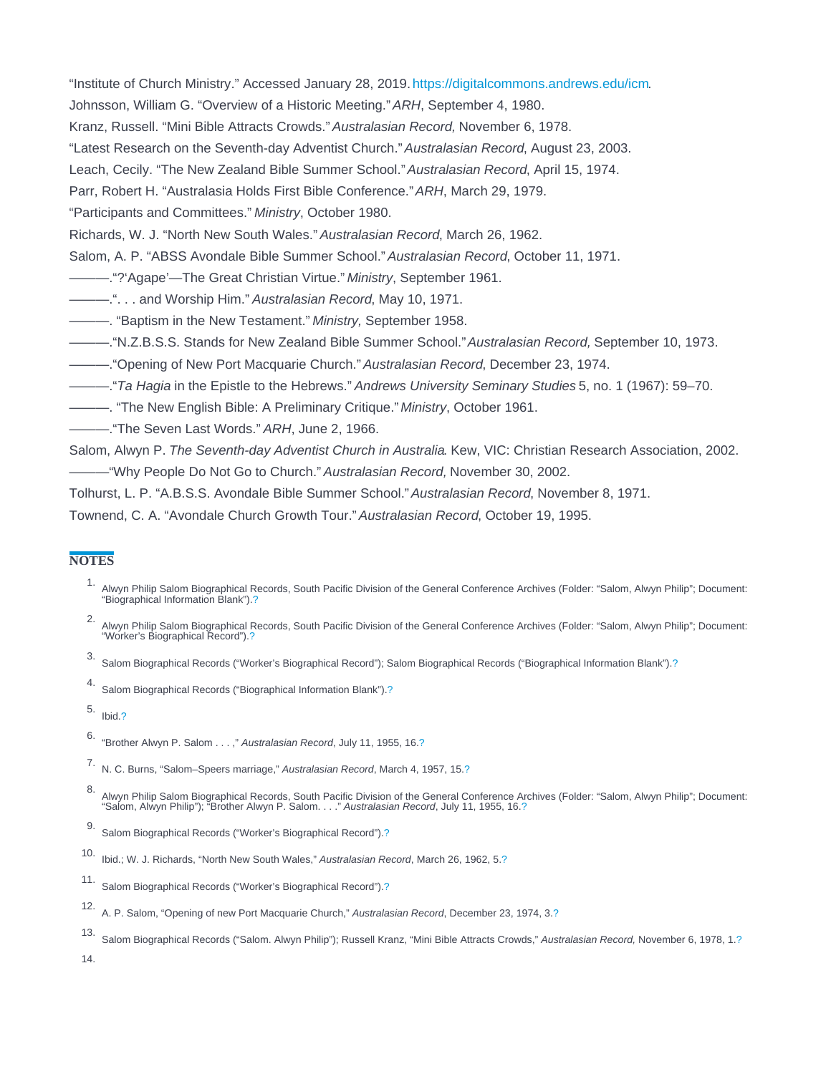<span id="page-2-0"></span>"Institute of Church Ministry." Accessed January 28, 2019.<https://digitalcommons.andrews.edu/icm>. Johnsson, William G. "Overview of a Historic Meeting." ARH, September 4, 1980. Kranz, Russell. "Mini Bible Attracts Crowds." Australasian Record, November 6, 1978. "Latest Research on the Seventh-day Adventist Church." Australasian Record, August 23, 2003. Leach, Cecily. "The New Zealand Bible Summer School." Australasian Record, April 15, 1974. Parr, Robert H. "Australasia Holds First Bible Conference." ARH, March 29, 1979. "Participants and Committees." Ministry, October 1980. Richards, W. J. "North New South Wales." Australasian Record, March 26, 1962. Salom, A. P. "ABSS Avondale Bible Summer School." Australasian Record, October 11, 1971. ———."?'Agape'—The Great Christian Virtue." Ministry, September 1961. ———.". . . and Worship Him." Australasian Record, May 10, 1971. ———. "Baptism in the New Testament." Ministry, September 1958. ———."N.Z.B.S.S. Stands for New Zealand Bible Summer School." Australasian Record, September 10, 1973. ———."Opening of New Port Macquarie Church." Australasian Record, December 23, 1974. ———."Ta Hagia in the Epistle to the Hebrews." Andrews University Seminary Studies 5, no. 1 (1967): 59–70.

- ———. "The New English Bible: A Preliminary Critique." Ministry, October 1961.
- ———."The Seven Last Words." ARH, June 2, 1966.

Salom, Alwyn P. The Seventh-day Adventist Church in Australia. Kew, VIC: Christian Research Association, 2002.

———"Why People Do Not Go to Church." Australasian Record, November 30, 2002.

Tolhurst, L. P. "A.B.S.S. Avondale Bible Summer School." Australasian Record, November 8, 1971.

Townend, C. A. "Avondale Church Growth Tour." Australasian Record, October 19, 1995.

#### **NOTES**

- 1. Alwyn Philip Salom Biographical Records, South Pacific Division of the General Conference Archives (Folder: "Salom, Alwyn Philip"; Document: "Biographical Information Blank")[.?](#page-0-0)
- 2. Alwyn Philip Salom Biographical Records, South Pacific Division of the General Conference Archives (Folder: "Salom, Alwyn Philip"; Document: "Worker's Biographical Record").[?](#page-0-0)
- 3. Salom Biographical Records ("Worker's Biographical Record"); Salom Biographical Records ("Biographical Information Blank").[?](#page-0-0)
- 4. Salom Biographical Records ("Biographical Information Blank").[?](#page-0-0)
- 5. Ibid[.?](#page-0-0)

8.<br>Alwyn Philip Salom Biographical Records, South Pacific Division of the General Conference Archives (Folder: "Salom, Alwyn Philip"; Document:<br>"Salom, Alwyn Philip"); "Brother Alwyn P. Salom. . . ." Australasian Record, J

- 12. A. P. Salom, "Opening of new Port Macquarie Church," Australasian Record, December 23, 1974, 3.[?](#page-1-0)
- 13. Salom Biographical Records ("Salom. Alwyn Philip"); Russell Kranz, "Mini Bible Attracts Crowds," Australasian Record, November 6, 1978, 1.[?](#page-1-0)

<sup>6.</sup> "Brother Alwyn P. Salom . . . ," Australasian Record, July 11, 1955, 16.[?](#page-0-0)

<sup>7.</sup> N. C. Burns, "Salom–Speers marriage," Australasian Record, March 4, 1957, 15[.?](#page-0-0)

<sup>9.</sup> Salom Biographical Records ("Worker's Biographical Record").[?](#page-0-0)

<sup>10.</sup> Ibid.; W. J. Richards, "North New South Wales," Australasian Record, March 26, 1962, 5.[?](#page-0-0)

<sup>11.</sup> Salom Biographical Records ("Worker's Biographical Record").[?](#page-0-0)